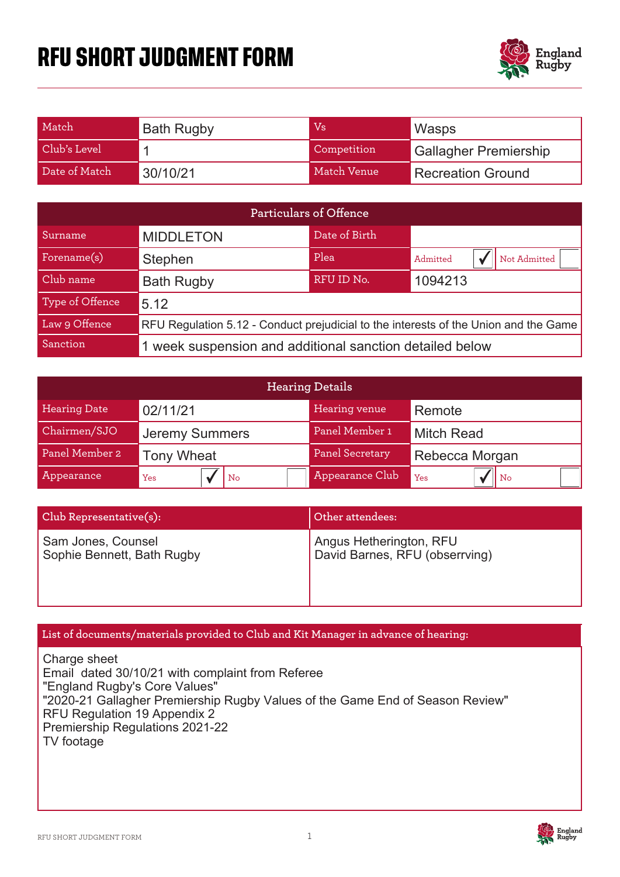# **RFU SHORT JUDGMENT FORM**



| Match         | <b>Bath Rugby</b> | Vs          | Wasps                        |
|---------------|-------------------|-------------|------------------------------|
| Club's Level  |                   | Competition | <b>Gallagher Premiership</b> |
| Date of Match | 30/10/21          | Match Venue | <b>Recreation Ground</b>     |

| <b>Particulars of Offence</b> |                                                                                      |               |                          |  |
|-------------------------------|--------------------------------------------------------------------------------------|---------------|--------------------------|--|
| Surname                       | <b>MIDDLETON</b>                                                                     | Date of Birth |                          |  |
| Forename(s)                   | Stephen                                                                              | Plea          | Not Admitted<br>Admitted |  |
| Club name                     | <b>Bath Rugby</b>                                                                    | RFU ID No.    | 1094213                  |  |
| Type of Offence               | 5.12                                                                                 |               |                          |  |
| Law 9 Offence                 | RFU Regulation 5.12 - Conduct prejudicial to the interests of the Union and the Game |               |                          |  |
| Sanction                      | 1 week suspension and additional sanction detailed below                             |               |                          |  |

| <b>Hearing Details</b> |                       |                 |                   |  |
|------------------------|-----------------------|-----------------|-------------------|--|
| <b>Hearing Date</b>    | 02/11/21              | Hearing venue   | Remote            |  |
| Chairmen/SJO           | <b>Jeremy Summers</b> | Panel Member 1  | <b>Mitch Read</b> |  |
| Panel Member 2         | <b>Tony Wheat</b>     | Panel Secretary | Rebecca Morgan    |  |
| Appearance             | l No<br>Yes           | Appearance Club | $  $ No<br>Yes    |  |

| Club Representative(s):    | Other attendees:               |  |
|----------------------------|--------------------------------|--|
| Sam Jones, Counsel         | Angus Hetherington, RFU        |  |
| Sophie Bennett, Bath Rugby | David Barnes, RFU (obserrving) |  |

### List of documents/materials provided to Club and Kit Manager in advance of hearing:

Charge sheet Email dated 30/10/21 with complaint from Referee "England Rugby's Core Values" "2020-21 Gallagher Premiership Rugby Values of the Game End of Season Review" RFU Regulation 19 Appendix 2 Premiership Regulations 2021-22 TV footage

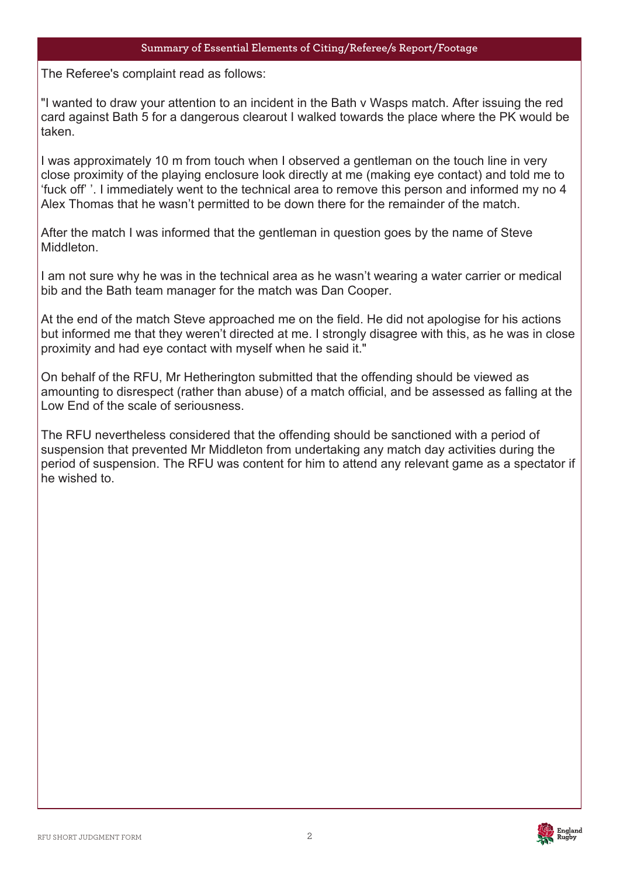### **Summary of Essential Elements of Citing/Referee/s Report/Footage**

The Refere The Referee's complaint read as follows:

"I wanted to draw your attention to an incident in the Bath v Wasps match. After issuing the red card against Bath 5 for a dangerous clearout I walked towards the place where the PK would be taken.

I was approximately 10 m from touch when I observed a gentleman on the touch line in very close proximity of the playing enclosure look directly at me (making eye contact) and told me to 'fuck off' '. I immediately went to the technical area to remove this person and informed my no 4 Alex Thomas that he wasn't permitted to be down there for the remainder of the match.

After the match I was informed that the gentleman in question goes by the name of Steve **Middleton** 

I am not sure why he was in the technical area as he wasn't wearing a water carrier or medical bib and the Bath team manager for the match was Dan Cooper.

At the end of the match Steve approached me on the field. He did not apologise for his actions but informed me that they weren't directed at me. I strongly disagree with this, as he was in close proximity and had eye contact with myself when he said it."

On behalf of the RFU, Mr Hetherington submitted that the offending should be viewed as amounting to disrespect (rather than abuse) of a match official, and be assessed as falling at the Low End of the scale of seriousness.

The RFU nevertheless considered that the offending should be sanctioned with a period of suspension that prevented Mr Middleton from undertaking any match day activities during the period of suspension. The RFU was content for him to attend any relevant game as a spectator if he wished to.



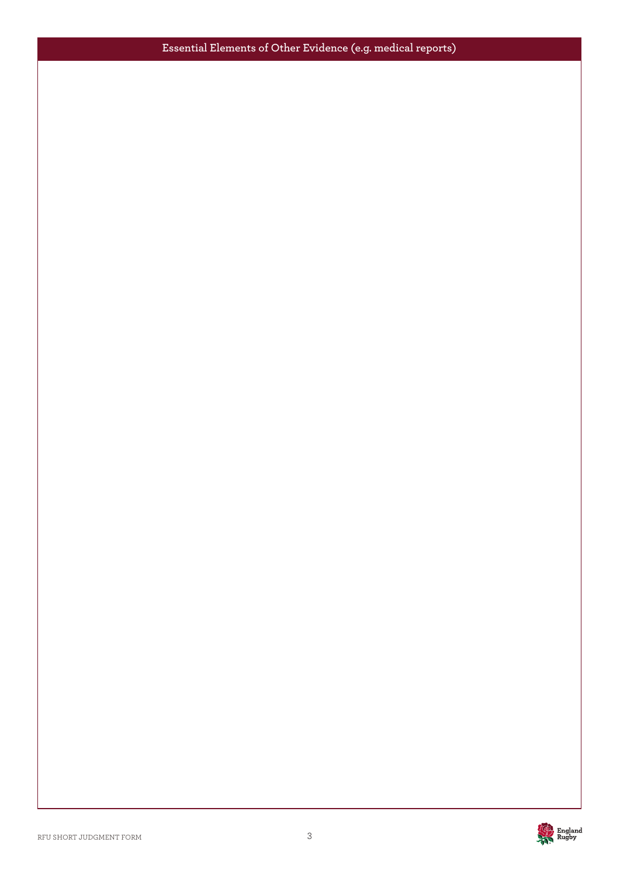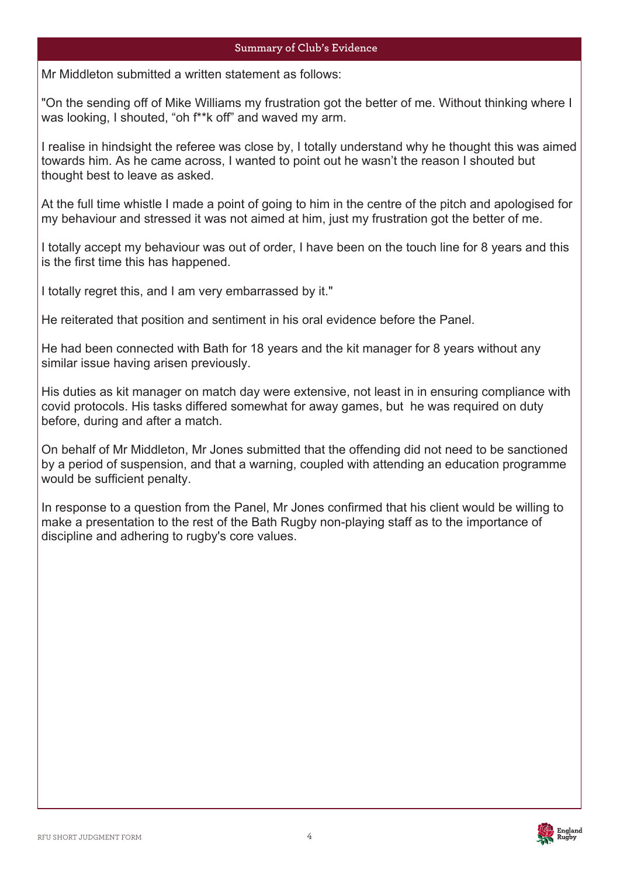### **Summary of '0's Evidence**

Mr Middleton submitted a written statement as follows: Plea

"On the sending off of Mike Williams my frustration got the better of me. Without thinking where I was looking, I shouted, "oh f\*\*k off" and waved my arm.

I realise in hindsight the referee was close by, I totally understand why he thought this was aimed towards him. As he came across, I wanted to point out he wasn't the reason I shouted but thought best to leave as asked.

At the full time whistle I made a point of going to him in the centre of the pitch and apologised for my behaviour and stressed it was not aimed at him, just my frustration got the better of me.

I totally accept my behaviour was out of order, I have been on the touch line for 8 years and this is the first time this has happened.

I totally regret this, and I am very embarrassed by it."

He reiterated that position and sentiment in his oral evidence before the Panel.

He had been connected with Bath for 18 years and the kit manager for 8 years without any similar issue having arisen previously.

His duties as kit manager on match day were extensive, not least in in ensuring compliance with covid protocols. His tasks differed somewhat for away games, but he was required on duty before, during and after a match.

On behalf of Mr Middleton, Mr Jones submitted that the offending did not need to be sanctioned by a period of suspension, and that a warning, coupled with attending an education programme would be sufficient penalty.

In response to a question from the Panel, Mr Jones confirmed that his client would be willing to make a presentation to the rest of the Bath Rugby non-playing staff as to the importance of discipline and adhering to rugby's core values.



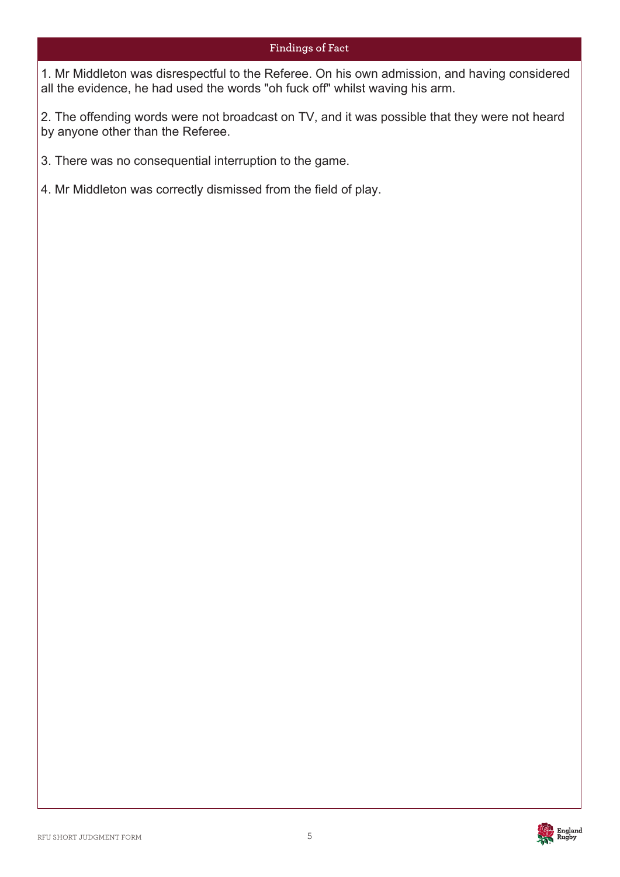### **Findings of Fact**

1. Mr Middleton was disrespectful to the Referee. On his own admission, and having considered all the evidence, he had used the words "oh fuck off" whilst waving his arm.

2. The offending words were not broadcast on TV, and it was possible that they were not heard by anyone other than the Referee.

3. There was no consequential interruption to the game.

4. Mr Middleton was correctly dismissed from the field of play.

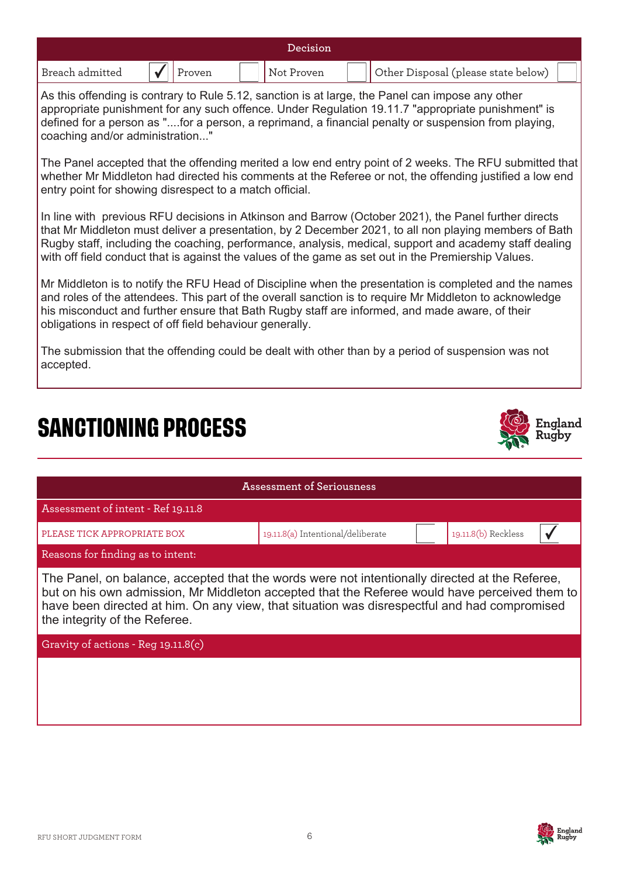| Decision        |                             |                   |                                                          |  |  |
|-----------------|-----------------------------|-------------------|----------------------------------------------------------|--|--|
| Breach admitted | $\sqrt{\vert \vert}$ Proven | $\mid$ Not Proven | $\sqrt{\frac{1}{2}}$ Other Disposal (please state below) |  |  |

As this offending is contrary to Rule 5.12, sanction is at large, the Panel can impose any other appropriate punishment for any such offence. Under Regulation 19.11.7 "appropriate punishment" is defined for a person as "....for a person, a reprimand, a financial penalty or suspension from playing, coaching and/or administration..."

The Panel accepted that the offending merited a low end entry point of 2 weeks. The RFU submitted that whether Mr Middleton had directed his comments at the Referee or not, the offending justified a low end entry point for showing disrespect to a match official.

In line with previous RFU decisions in Atkinson and Barrow (October 2021), the Panel further directs that Mr Middleton must deliver a presentation, by 2 December 2021, to all non playing members of Bath Rugby staff, including the coaching, performance, analysis, medical, support and academy staff dealing with off field conduct that is against the values of the game as set out in the Premiership Values.

Mr Middleton is to notify the RFU Head of Discipline when the presentation is completed and the names and roles of the attendees. This part of the overall sanction is to require Mr Middleton to acknowledge his misconduct and further ensure that Bath Rugby staff are informed, and made aware, of their obligations in respect of off field behaviour generally.

The submission that the offending could be dealt with other than by a period of suspension was not accepted.

## **SANCTIONING PROCESS**



| Assessment of Seriousness                                                                                                                                                                                                                                                                                                        |                                   |  |                     |  |  |
|----------------------------------------------------------------------------------------------------------------------------------------------------------------------------------------------------------------------------------------------------------------------------------------------------------------------------------|-----------------------------------|--|---------------------|--|--|
| Assessment of intent - Ref 19.11.8                                                                                                                                                                                                                                                                                               |                                   |  |                     |  |  |
| PLEASE TICK APPROPRIATE BOX                                                                                                                                                                                                                                                                                                      | 19.11.8(a) Intentional/deliberate |  | 19.11.8(b) Reckless |  |  |
| Reasons for finding as to intent:                                                                                                                                                                                                                                                                                                |                                   |  |                     |  |  |
| The Panel, on balance, accepted that the words were not intentionally directed at the Referee,<br>but on his own admission, Mr Middleton accepted that the Referee would have perceived them to<br>have been directed at him. On any view, that situation was disrespectful and had compromised<br>the integrity of the Referee. |                                   |  |                     |  |  |
| Gravity of actions - Reg 19.11.8(c)                                                                                                                                                                                                                                                                                              |                                   |  |                     |  |  |
|                                                                                                                                                                                                                                                                                                                                  |                                   |  |                     |  |  |

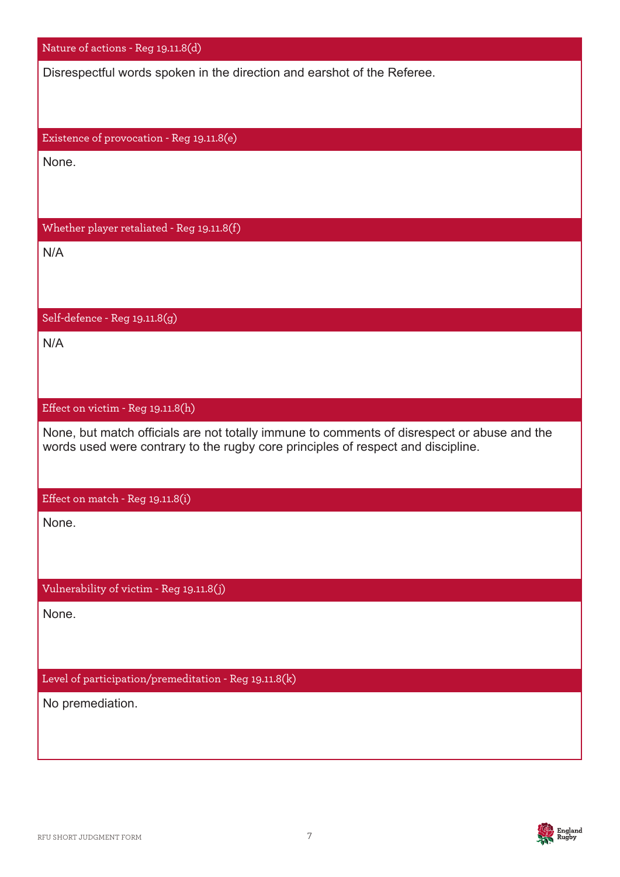| Nature of actions - Reg 19.11.8(d)                                                                                                                                              |
|---------------------------------------------------------------------------------------------------------------------------------------------------------------------------------|
| Disrespectful words spoken in the direction and earshot of the Referee.                                                                                                         |
|                                                                                                                                                                                 |
|                                                                                                                                                                                 |
| Existence of provocation - Reg 19.11.8(e)                                                                                                                                       |
| None.                                                                                                                                                                           |
|                                                                                                                                                                                 |
| Whether player retaliated - Reg 19.11.8(f)                                                                                                                                      |
| N/A                                                                                                                                                                             |
|                                                                                                                                                                                 |
|                                                                                                                                                                                 |
| Self-defence - Reg 19.11.8(g)                                                                                                                                                   |
| N/A                                                                                                                                                                             |
|                                                                                                                                                                                 |
|                                                                                                                                                                                 |
| Effect on victim - Reg 19.11.8(h)                                                                                                                                               |
| None, but match officials are not totally immune to comments of disrespect or abuse and the<br>words used were contrary to the rugby core principles of respect and discipline. |
|                                                                                                                                                                                 |
| Effect on match - Reg 19.11.8(i)                                                                                                                                                |
| None.                                                                                                                                                                           |
|                                                                                                                                                                                 |
|                                                                                                                                                                                 |
| Vulnerability of victim - Reg 19.11.8(j)                                                                                                                                        |
| None.                                                                                                                                                                           |
|                                                                                                                                                                                 |
|                                                                                                                                                                                 |
| Level of participation/premeditation - Reg 19.11.8(k)                                                                                                                           |
| No premediation.                                                                                                                                                                |
|                                                                                                                                                                                 |
|                                                                                                                                                                                 |

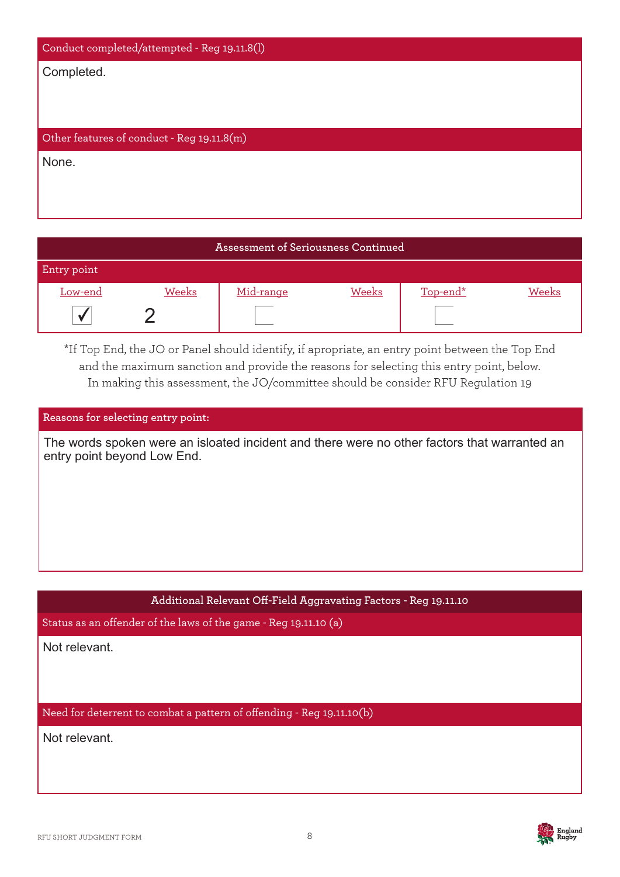| Conduct completed/attempted - Reg 19.11.8(l) |
|----------------------------------------------|
| Completed.                                   |
|                                              |
|                                              |
| Other features of conduct - Reg 19.11.8(m)   |
| None.                                        |
|                                              |
|                                              |

### **Assessment of Seriousness Continued** Entry point Low-end Weeks Mid-range Weeks Top-end\* Weeks  $\sqrt{2}$

\*If Top End, the JO or Panel should identify, if apropriate, an entry point between the Top End and the maximum sanction and provide the reasons for selecting this entry point, below. In making this assessment, the JO/committee should be consider RFU Regulation 19

### **Reasons for selecting entry point:**

The words spoken were an isloated incident and there were no other factors that warranted an entry point beyond Low End.

### **Additional Relevant Off-Field Aggravating Factors - Reg 19.11.10**

Status as an offender of the laws of the game - Reg 19.11.10 (a)

Not relevant.

Need for deterrent to combat a pattern of offending - Reg 19.11.10(b)

Not relevant.

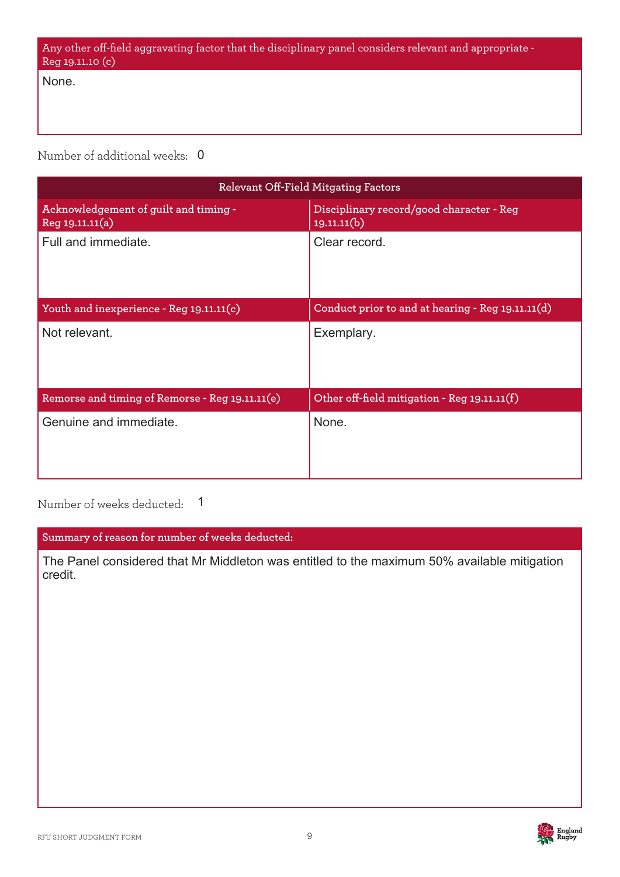| - Any other off-field aggravating factor that the disciplinary panel considers relevant and appropriate |  |
|---------------------------------------------------------------------------------------------------------|--|
| Reg 19.11.10 (c)                                                                                        |  |

None.

Number of additional weeks: 0

| Relevant Off-Field Mitgating Factors                     |                                                         |  |  |
|----------------------------------------------------------|---------------------------------------------------------|--|--|
| Acknowledgement of guilt and timing -<br>Reg 19.11.11(a) | Disciplinary record/good character - Reg<br>19.11.11(b) |  |  |
| Full and immediate.                                      | Clear record.                                           |  |  |
| Youth and inexperience - Reg 19.11.11(c)                 | Conduct prior to and at hearing - Reg 19.11.11(d)       |  |  |
| Not relevant.                                            | Exemplary.                                              |  |  |
| Remorse and timing of Remorse - Reg 19.11.11(e)          | Other off-field mitigation - Reg 19.11.11(f)            |  |  |
| Genuine and immediate.                                   | None.                                                   |  |  |

Number of weeks deducted: 1

**Summary of reason for number of weeks deducted:**

The Panel considered that Mr Middleton was entitled to the maximum 50% available mitigation credit.